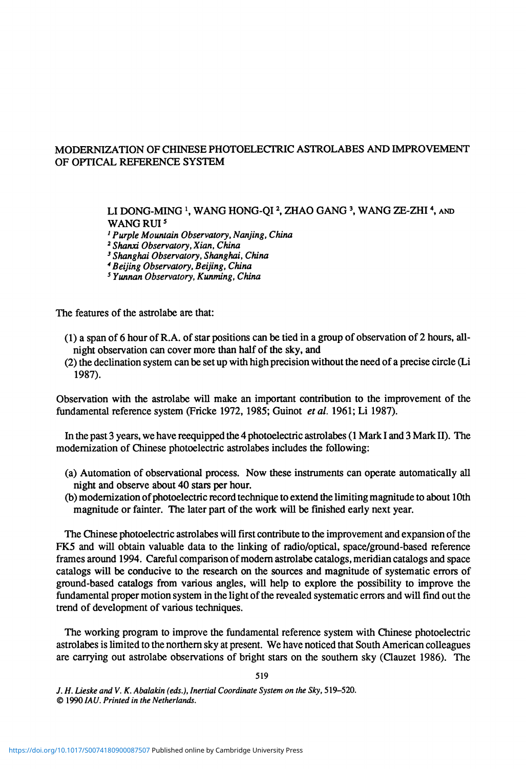## MODERNIZATION OF CHINESE PHOTOELECTRIC ASTROLABES AND IMPROVEMENT OF OPTICAL REFERENCE SYSTEM

LI DONG-MING <sup>1</sup>, WANG HONG-QI <sup>2</sup>, ZHAO GANG <sup>3</sup>, WANG ZE-ZHI <sup>4</sup>, and WANG RUI<sup>5</sup>

*1 Purple Mountain Observatory, Nanjing, China* 

*2 Shanxi Observatory, Xian, China* 

*3 Shanghai Observatory, Shanghai, China* 

*4 Beijing Observatory, Beijing, China* 

*5 Yunnan Observatory, Kunming, China* 

The features of the astrolabe are that:

- (1) a span of 6 hour of R.A. of star positions can be tied in a group of observation of 2 hours, allnight observation can cover more than half of the sky, and
- (2) the declination system can be set up with high precision without the need of a precise circle (Li 1987).

Observation with the astrolabe will make an important contribution to the improvement of the fundamental reference system (Fricke 1972, 1985; Guinot et al. 1961; Li 1987).

In the past 3 years, we have reequipped the 4 photoelectric astrolabes (1 Mark I and 3 Mark II). The modernization of Chinese photoelectric astrolabes includes the following:

- (a) Automation of observational process. Now these instruments can operate automatically all night and observe about 40 stars per hour.
- (b) modernization of photoelectric record technique to extend the limiting magnitude to about 10th magnitude or fainter. The later part of the work will be finished early next year.

The Chinese photoelectric astrolabes will first contribute to the improvement and expansion of the FK5 and will obtain valuable data to the linking of radio/optical, space/ground-based reference frames around 1994. Careful comparison of modern astrolabe catalogs, meridian catalogs and space catalogs will be conducive to the research on the sources and magnitude of systematic errors of ground-based catalogs from various angles, will help to explore the possibility to improve the fundamental proper motion system in the light of the revealed systematic errors and will find out the trend of development of various techniques.

The working program to improve the fundamental reference system with Chinese photoelectric astrolabes is limited to the northern sky at present. We have noticed that South American colleagues are carrying out astrolabe observations of bright stars on the southern sky (Clauzet 1986). The

**519** 

*J. H. Lieske and V. K. Abalakin (eds.), Inertial Coordinate System on the Sky,* **519-520. 1990** *IAU. Printed in the Netherlands.*